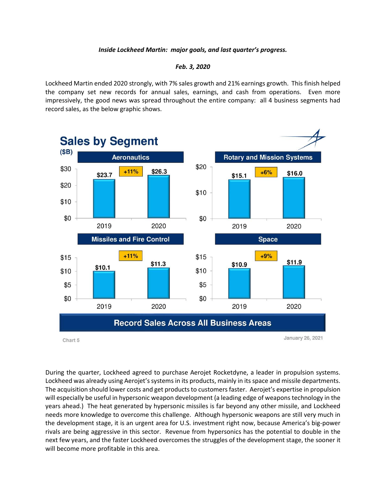## *Inside Lockheed Martin: major goals, and last quarter's progress.*

## *Feb. 3, 2020*

Lockheed Martin ended 2020 strongly, with 7% sales growth and 21% earnings growth. This finish helped the company set new records for annual sales, earnings, and cash from operations. Even more impressively, the good news was spread throughout the entire company: all 4 business segments had record sales, as the below graphic shows.



During the quarter, Lockheed agreed to purchase Aerojet Rocketdyne, a leader in propulsion systems. Lockheed was already using Aerojet's systems in its products, mainly in its space and missile departments. The acquisition should lower costs and get products to customers faster. Aerojet's expertise in propulsion will especially be useful in hypersonic weapon development (a leading edge of weapons technology in the years ahead.) The heat generated by hypersonic missiles is far beyond any other missile, and Lockheed needs more knowledge to overcome this challenge. Although hypersonic weapons are still very much in the development stage, it is an urgent area for U.S. investment right now, because America's big-power rivals are being aggressive in this sector. Revenue from hypersonics has the potential to double in the next few years, and the faster Lockheed overcomes the struggles of the development stage, the sooner it will become more profitable in this area.